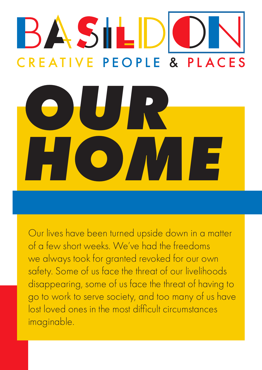# BASILD **CREATIVE PEOPLE & PLACES** *OUR*  **HOME**

Our lives have been turned upside down in a matter of a few short weeks. We've had the freedoms we always took for granted revoked for our own safety. Some of us face the threat of our livelihoods disappearing, some of us face the threat of having to go to work to serve society, and too many of us have lost loved ones in the most difficult circumstances imaginable.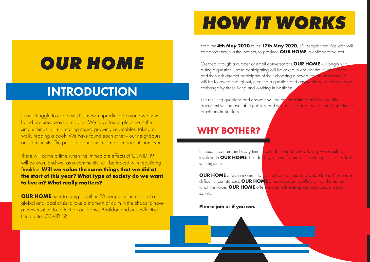# *OUR HOME*

In our struggle to cope with this new, unpredictable world we have found precious ways of coping. We have found pleasure in the simple things in life - making music, growing vegetables, taking a walk, reading a book. We have found each other - our neighbours, our community. The people around us are more important than ever.

There will come a time when the immediate effects of COVID 19 will be over, and we, as a community, will be tasked with rebuilding Basildon. **Will we value the same things that we did at the start of this year? What type of society do we want to live in? What really matters?**

**OUR HOME** aims to bring together 50 people in the midst of a global and local crisis to take a moment of calm in the chaos to have a conversation to reflect on our home, Basildon and our collective future after COVID 19.

**OUR HOME** offers a moment to connect with others, to develop friendships under difficult circumstances. **OUR HOME** offers a space to reflect on our home, on what we value. **OUR HOME** offers a way to break up the long days of social isolation.

# INTRODUCTION

# *HOW IT WORKS*

### WHY BOTHER?

In these uncertain and scary times it is understandable to ask why you would get involved in **OUR HOME**. No doubt you have far more important priorities to deal with urgently.

The resulting questions and answers will be collated into a publication. This document will be available publicly and will be used as a tool to help shape future provisions in Basildon

#### **Please join us if you can.**



From the **4th May 2020** to the **17th May 2020**, 50 people from Basildon will come together, via the Internet, to produce **OUR HOME**, a collaborative text.

Created through a number of email conversations **OUR HOME** will begin with a single question. Those participating will be asked to answer the initial question and then ask another participant of their choosing a new question. This structure will be followed throughout, creating a question and answer trade; a mass pen pal exchange by those living and working in Basildon.